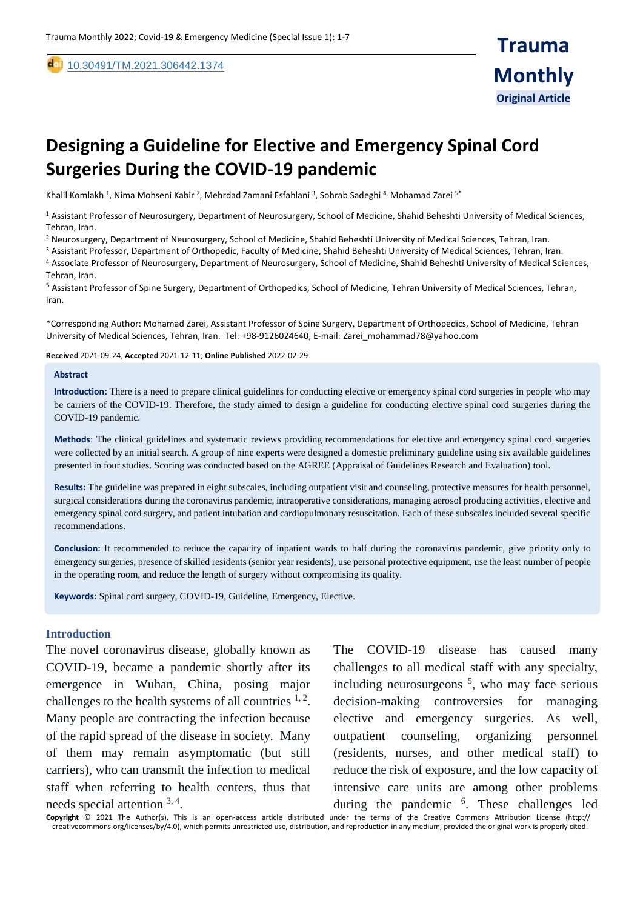[10.30491/TM.2021.306442.1374](https://dx.doi.org/10.30491/tm.2021.264991.1218)

# **Designing a Guideline for Elective and Emergency Spinal Cord Surgeries During the COVID-19 pandemic**

Khalil Komlakh <sup>1</sup>, Nima Mohseni Kabir <sup>2</sup>, Mehrdad Zamani Esfahlani <sup>3</sup>, Sohrab Sadeghi <sup>4,</sup> Mohamad Zarei <sup>5</sup>\*

<sup>1</sup> Assistant Professor of Neurosurgery, Department of Neurosurgery, School of Medicine, Shahid Beheshti University of Medical Sciences, Tehran, Iran.

<sup>2</sup> Neurosurgery, Department of Neurosurgery, School of Medicine, Shahid Beheshti University of Medical Sciences, Tehran, Iran.

<sup>3</sup> Assistant Professor, Department of Orthopedic, Faculty of Medicine, Shahid Beheshti University of Medical Sciences, Tehran, Iran.

<sup>4</sup> Associate Professor of Neurosurgery, Department of Neurosurgery, School of Medicine, Shahid Beheshti University of Medical Sciences, Tehran, Iran.

<sup>5</sup> Assistant Professor of Spine Surgery, Department of Orthopedics, School of Medicine, Tehran University of Medical Sciences, Tehran, Iran.

\*Corresponding Author: Mohamad Zarei, Assistant Professor of Spine Surgery, Department of Orthopedics, School of Medicine, Tehran University of Medical Sciences, Tehran, Iran. Tel: +98-9126024640, E-mail: Zarei\_mohammad78@yahoo.com

#### **Received** 2021-09-24; **Accepted** 2021-12-11; **Online Published** 2022-02-29

#### **Abstract**

,

**Introduction:** There is a need to prepare clinical guidelines for conducting elective or emergency spinal cord surgeries in people who may be carriers of the COVID-19. Therefore, the study aimed to design a guideline for conducting elective spinal cord surgeries during the COVID-19 pandemic.

**Methods**: The clinical guidelines and systematic reviews providing recommendations for elective and emergency spinal cord surgeries were collected by an initial search. A group of nine experts were designed a domestic preliminary guideline using six available guidelines presented in four studies. Scoring was conducted based on the AGREE (Appraisal of Guidelines Research and Evaluation) tool.

**Results:** The guideline was prepared in eight subscales, including outpatient visit and counseling, protective measures for health personnel, surgical considerations during the coronavirus pandemic, intraoperative considerations, managing aerosol producing activities, elective and emergency spinal cord surgery, and patient intubation and cardiopulmonary resuscitation. Each of these subscales included several specific recommendations.

**Conclusion:** It recommended to reduce the capacity of inpatient wards to half during the coronavirus pandemic, give priority only to emergency surgeries, presence of skilled residents (senior year residents), use personal protective equipment, use the least number of people in the operating room, and reduce the length of surgery without compromising its quality.

**Keywords:** Spinal cord surgery, COVID-19, Guideline, Emergency, Elective.

### **Introduction**

The novel coronavirus disease, globally known as COVID-19, became a pandemic shortly after its emergence in Wuhan, China, posing major challenges to the health systems of all countries  $1, 2$ . Many people are contracting the infection because of the rapid spread of the disease in society. Many of them may remain asymptomatic (but still carriers), who can transmit the infection to medical staff when referring to health centers, thus that needs special attention 3, 4.

The COVID-19 disease has caused many challenges to all medical staff with any specialty, including neurosurgeons<sup>5</sup>, who may face serious decision-making controversies for managing elective and emergency surgeries. As well, outpatient counseling, organizing personnel (residents, nurses, and other medical staff) to reduce the risk of exposure, and the low capacity of intensive care units are among other problems during the pandemic <sup>6</sup>. These challenges led

**Copyright** © 2021 The Author(s). This is an open-access article distributed under the terms of the Creative Commons Attribution License (http:// creativecommons.org/licenses/by/4.0), which permits unrestricted use, distribution, and reproduction in any medium, provided the original work is properly cited.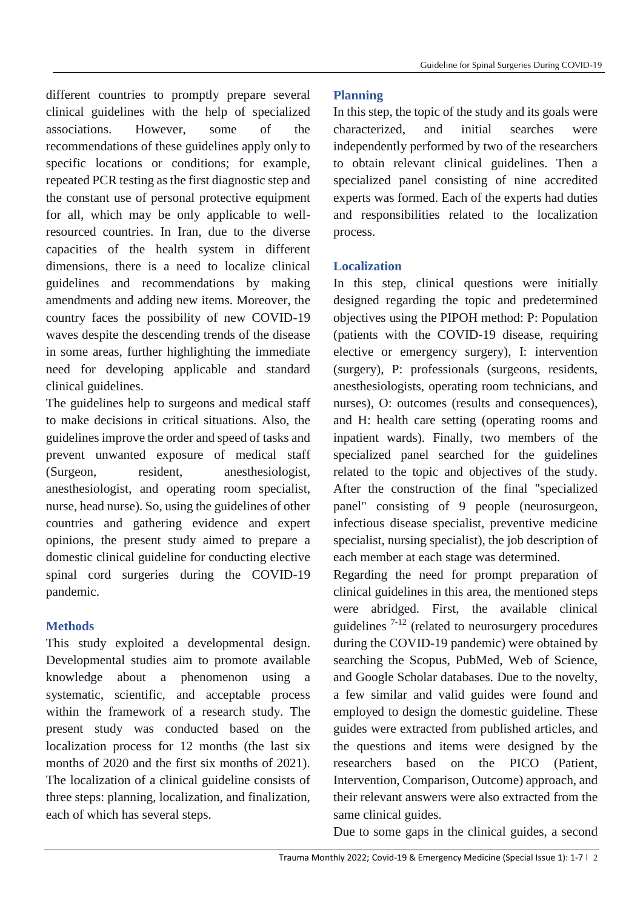different countries to promptly prepare several clinical guidelines with the help of specialized associations. However, some of the recommendations of these guidelines apply only to specific locations or conditions; for example, repeated PCR testing as the first diagnostic step and the constant use of personal protective equipment for all, which may be only applicable to wellresourced countries. In Iran, due to the diverse capacities of the health system in different dimensions, there is a need to localize clinical guidelines and recommendations by making amendments and adding new items. Moreover, the country faces the possibility of new COVID-19 waves despite the descending trends of the disease in some areas, further highlighting the immediate need for developing applicable and standard clinical guidelines.

The guidelines help to surgeons and medical staff to make decisions in critical situations. Also, the guidelines improve the order and speed of tasks and prevent unwanted exposure of medical staff (Surgeon, resident, anesthesiologist, anesthesiologist, and operating room specialist, nurse, head nurse). So, using the guidelines of other countries and gathering evidence and expert opinions, the present study aimed to prepare a domestic clinical guideline for conducting elective spinal cord surgeries during the COVID-19 pandemic.

# **Methods**

This study exploited a developmental design. Developmental studies aim to promote available knowledge about a phenomenon using a systematic, scientific, and acceptable process within the framework of a research study. The present study was conducted based on the localization process for 12 months (the last six months of 2020 and the first six months of 2021). The localization of a clinical guideline consists of three steps: planning, localization, and finalization, each of which has several steps.

# **Planning**

In this step, the topic of the study and its goals were characterized, and initial searches were independently performed by two of the researchers to obtain relevant clinical guidelines. Then a specialized panel consisting of nine accredited experts was formed. Each of the experts had duties and responsibilities related to the localization process.

# **Localization**

In this step, clinical questions were initially designed regarding the topic and predetermined objectives using the PIPOH method: P: Population (patients with the COVID-19 disease, requiring elective or emergency surgery), I: intervention (surgery), P: professionals (surgeons, residents, anesthesiologists, operating room technicians, and nurses), O: outcomes (results and consequences), and H: health care setting (operating rooms and inpatient wards). Finally, two members of the specialized panel searched for the guidelines related to the topic and objectives of the study. After the construction of the final "specialized panel" consisting of 9 people (neurosurgeon, infectious disease specialist, preventive medicine specialist, nursing specialist), the job description of each member at each stage was determined.

Regarding the need for prompt preparation of clinical guidelines in this area, the mentioned steps were abridged. First, the available clinical guidelines  $7-12$  (related to neurosurgery procedures during the COVID-19 pandemic) were obtained by searching the Scopus, PubMed, Web of Science, and Google Scholar databases. Due to the novelty, a few similar and valid guides were found and employed to design the domestic guideline. These guides were extracted from published articles, and the questions and items were designed by the researchers based on the PICO (Patient, Intervention, Comparison, Outcome) approach, and their relevant answers were also extracted from the same clinical guides.

Due to some gaps in the clinical guides, a second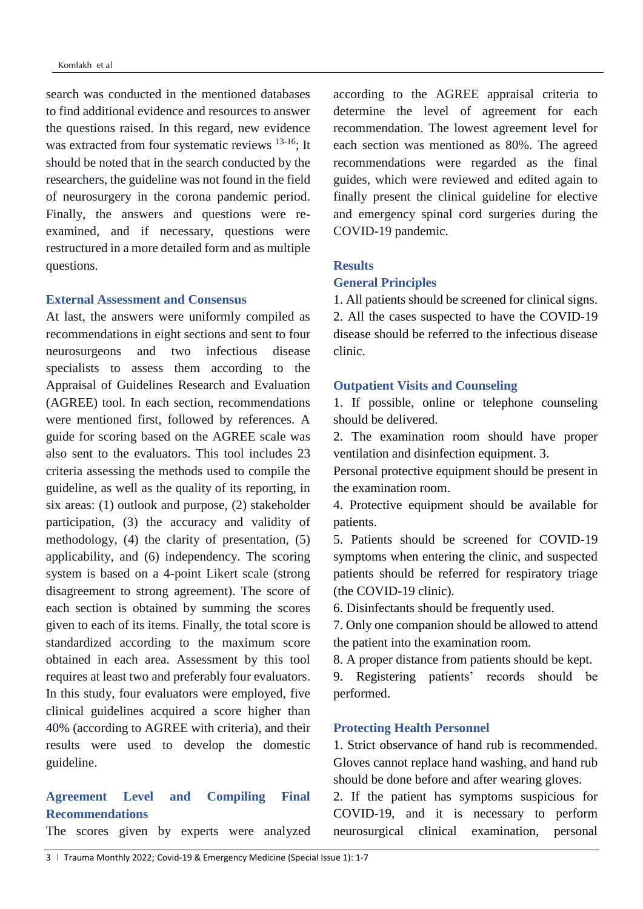search was conducted in the mentioned databases to find additional evidence and resources to answer the questions raised. In this regard, new evidence was extracted from four systematic reviews <sup>13-16</sup>; It should be noted that in the search conducted by the researchers, the guideline was not found in the field of neurosurgery in the corona pandemic period. Finally, the answers and questions were reexamined, and if necessary, questions were restructured in a more detailed form and as multiple questions.

### **External Assessment and Consensus**

At last, the answers were uniformly compiled as recommendations in eight sections and sent to four neurosurgeons and two infectious disease specialists to assess them according to the Appraisal of Guidelines Research and Evaluation (AGREE) tool. In each section, recommendations were mentioned first, followed by references. A guide for scoring based on the AGREE scale was also sent to the evaluators. This tool includes 23 criteria assessing the methods used to compile the guideline, as well as the quality of its reporting, in six areas: (1) outlook and purpose, (2) stakeholder participation, (3) the accuracy and validity of methodology, (4) the clarity of presentation, (5) applicability, and (6) independency. The scoring system is based on a 4-point Likert scale (strong disagreement to strong agreement). The score of each section is obtained by summing the scores given to each of its items. Finally, the total score is standardized according to the maximum score obtained in each area. Assessment by this tool requires at least two and preferably four evaluators. In this study, four evaluators were employed, five clinical guidelines acquired a score higher than 40% (according to AGREE with criteria), and their results were used to develop the domestic guideline.

## **Agreement Level and Compiling Final Recommendations**

The scores given by experts were analyzed

according to the AGREE appraisal criteria to determine the level of agreement for each recommendation. The lowest agreement level for each section was mentioned as 80%. The agreed recommendations were regarded as the final guides, which were reviewed and edited again to finally present the clinical guideline for elective and emergency spinal cord surgeries during the COVID-19 pandemic.

### **Results**

### **General Principles**

1. All patients should be screened for clinical signs. 2. All the cases suspected to have the COVID-19 disease should be referred to the infectious disease clinic.

### **Outpatient Visits and Counseling**

1. If possible, online or telephone counseling should be delivered.

2. The examination room should have proper ventilation and disinfection equipment. 3.

Personal protective equipment should be present in the examination room.

4. Protective equipment should be available for patients.

5. Patients should be screened for COVID-19 symptoms when entering the clinic, and suspected patients should be referred for respiratory triage (the COVID-19 clinic).

6. Disinfectants should be frequently used.

7. Only one companion should be allowed to attend the patient into the examination room.

8. A proper distance from patients should be kept. 9. Registering patients' records should be

performed.

### **Protecting Health Personnel**

1. Strict observance of hand rub is recommended. Gloves cannot replace hand washing, and hand rub should be done before and after wearing gloves.

2. If the patient has symptoms suspicious for COVID-19, and it is necessary to perform neurosurgical clinical examination, personal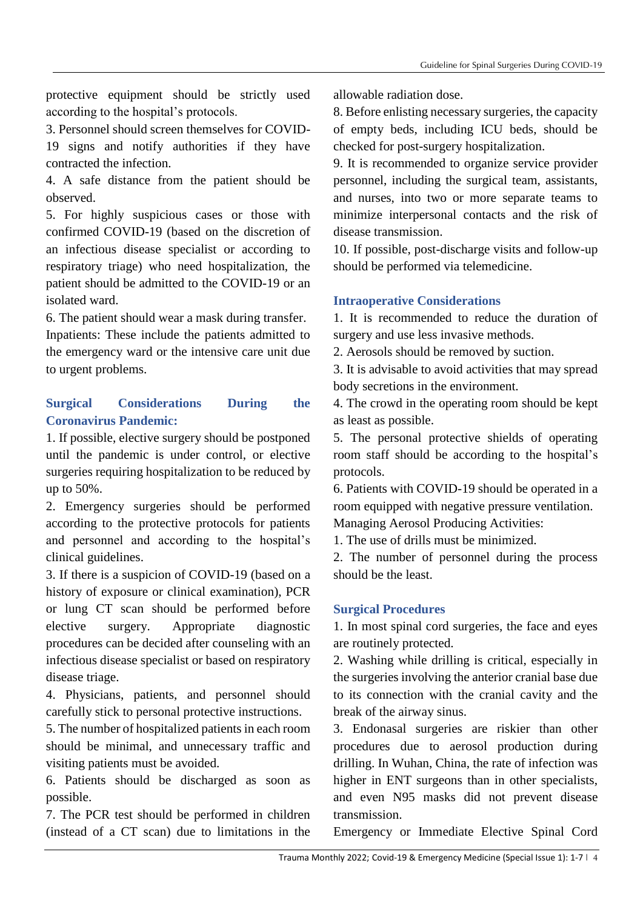protective equipment should be strictly used according to the hospital's protocols.

3. Personnel should screen themselves for COVID-19 signs and notify authorities if they have contracted the infection.

4. A safe distance from the patient should be observed.

5. For highly suspicious cases or those with confirmed COVID-19 (based on the discretion of an infectious disease specialist or according to respiratory triage) who need hospitalization, the patient should be admitted to the COVID-19 or an isolated ward.

6. The patient should wear a mask during transfer. Inpatients: These include the patients admitted to the emergency ward or the intensive care unit due to urgent problems.

# **Surgical Considerations During the Coronavirus Pandemic:**

1. If possible, elective surgery should be postponed until the pandemic is under control, or elective surgeries requiring hospitalization to be reduced by up to 50%.

2. Emergency surgeries should be performed according to the protective protocols for patients and personnel and according to the hospital's clinical guidelines.

3. If there is a suspicion of COVID-19 (based on a history of exposure or clinical examination), PCR or lung CT scan should be performed before elective surgery. Appropriate diagnostic procedures can be decided after counseling with an infectious disease specialist or based on respiratory disease triage.

4. Physicians, patients, and personnel should carefully stick to personal protective instructions.

5. The number of hospitalized patients in each room should be minimal, and unnecessary traffic and visiting patients must be avoided.

6. Patients should be discharged as soon as possible.

7. The PCR test should be performed in children (instead of a CT scan) due to limitations in the

allowable radiation dose.

8. Before enlisting necessary surgeries, the capacity of empty beds, including ICU beds, should be checked for post-surgery hospitalization.

9. It is recommended to organize service provider personnel, including the surgical team, assistants, and nurses, into two or more separate teams to minimize interpersonal contacts and the risk of disease transmission.

10. If possible, post-discharge visits and follow-up should be performed via telemedicine.

# **Intraoperative Considerations**

1. It is recommended to reduce the duration of surgery and use less invasive methods.

2. Aerosols should be removed by suction.

3. It is advisable to avoid activities that may spread body secretions in the environment.

4. The crowd in the operating room should be kept as least as possible.

5. The personal protective shields of operating room staff should be according to the hospital's protocols.

6. Patients with COVID-19 should be operated in a room equipped with negative pressure ventilation. Managing Aerosol Producing Activities:

1. The use of drills must be minimized.

2. The number of personnel during the process should be the least.

### **Surgical Procedures**

1. In most spinal cord surgeries, the face and eyes are routinely protected.

2. Washing while drilling is critical, especially in the surgeries involving the anterior cranial base due to its connection with the cranial cavity and the break of the airway sinus.

3. Endonasal surgeries are riskier than other procedures due to aerosol production during drilling. In Wuhan, China, the rate of infection was higher in ENT surgeons than in other specialists, and even N95 masks did not prevent disease transmission.

Emergency or Immediate Elective Spinal Cord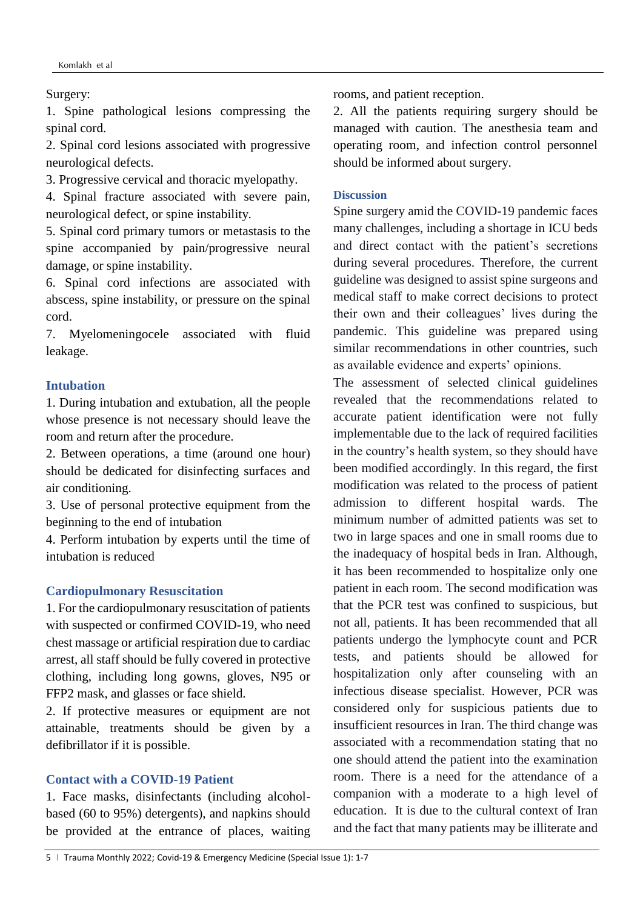### Surgery:

1. Spine pathological lesions compressing the spinal cord.

2. Spinal cord lesions associated with progressive neurological defects.

3. Progressive cervical and thoracic myelopathy.

4. Spinal fracture associated with severe pain, neurological defect, or spine instability.

5. Spinal cord primary tumors or metastasis to the spine accompanied by pain/progressive neural damage, or spine instability.

6. Spinal cord infections are associated with abscess, spine instability, or pressure on the spinal cord.

7. Myelomeningocele associated with fluid leakage.

### **Intubation**

1. During intubation and extubation, all the people whose presence is not necessary should leave the room and return after the procedure.

2. Between operations, a time (around one hour) should be dedicated for disinfecting surfaces and air conditioning.

3. Use of personal protective equipment from the beginning to the end of intubation

4. Perform intubation by experts until the time of intubation is reduced

### **Cardiopulmonary Resuscitation**

1. For the cardiopulmonary resuscitation of patients with suspected or confirmed COVID-19, who need chest massage or artificial respiration due to cardiac arrest, all staff should be fully covered in protective clothing, including long gowns, gloves, N95 or FFP2 mask, and glasses or face shield.

2. If protective measures or equipment are not attainable, treatments should be given by a defibrillator if it is possible.

### **Contact with a COVID-19 Patient**

1. Face masks, disinfectants (including alcoholbased (60 to 95%) detergents), and napkins should be provided at the entrance of places, waiting rooms, and patient reception.

2. All the patients requiring surgery should be managed with caution. The anesthesia team and operating room, and infection control personnel should be informed about surgery.

### **Discussion**

Spine surgery amid the COVID-19 pandemic faces many challenges, including a shortage in ICU beds and direct contact with the patient's secretions during several procedures. Therefore, the current guideline was designed to assist spine surgeons and medical staff to make correct decisions to protect their own and their colleagues' lives during the pandemic. This guideline was prepared using similar recommendations in other countries, such as available evidence and experts' opinions.

The assessment of selected clinical guidelines revealed that the recommendations related to accurate patient identification were not fully implementable due to the lack of required facilities in the country's health system, so they should have been modified accordingly. In this regard, the first modification was related to the process of patient admission to different hospital wards. The minimum number of admitted patients was set to two in large spaces and one in small rooms due to the inadequacy of hospital beds in Iran. Although, it has been recommended to hospitalize only one patient in each room. The second modification was that the PCR test was confined to suspicious, but not all, patients. It has been recommended that all patients undergo the lymphocyte count and PCR tests, and patients should be allowed for hospitalization only after counseling with an infectious disease specialist. However, PCR was considered only for suspicious patients due to insufficient resources in Iran. The third change was associated with a recommendation stating that no one should attend the patient into the examination room. There is a need for the attendance of a companion with a moderate to a high level of education. It is due to the cultural context of Iran and the fact that many patients may be illiterate and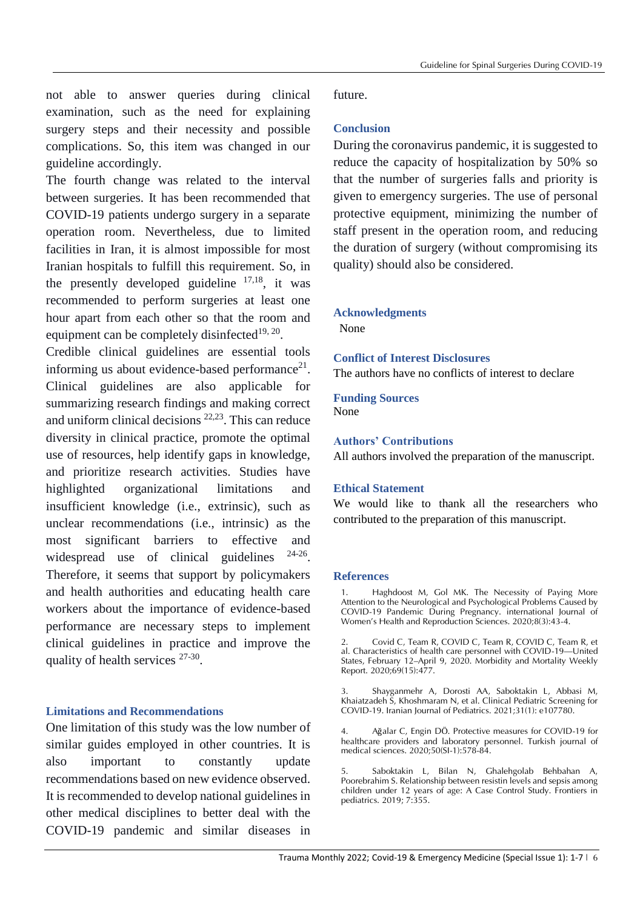not able to answer queries during clinical examination, such as the need for explaining surgery steps and their necessity and possible complications. So, this item was changed in our guideline accordingly.

The fourth change was related to the interval between surgeries. It has been recommended that COVID-19 patients undergo surgery in a separate operation room. Nevertheless, due to limited facilities in Iran, it is almost impossible for most Iranian hospitals to fulfill this requirement. So, in the presently developed guideline  $17,18$ , it was recommended to perform surgeries at least one hour apart from each other so that the room and equipment can be completely disinfected $19, 20$ .

Credible clinical guidelines are essential tools informing us about evidence-based performance $2^1$ . Clinical guidelines are also applicable for summarizing research findings and making correct and uniform clinical decisions  $22,23$ . This can reduce diversity in clinical practice, promote the optimal use of resources, help identify gaps in knowledge, and prioritize research activities. Studies have highlighted organizational limitations and insufficient knowledge (i.e., extrinsic), such as unclear recommendations (i.e., intrinsic) as the most significant barriers to effective and widespread use of clinical guidelines <sup>24-26</sup>. Therefore, it seems that support by policymakers and health authorities and educating health care workers about the importance of evidence-based performance are necessary steps to implement clinical guidelines in practice and improve the quality of health services <sup>27-30</sup>.

#### **Limitations and Recommendations**

One limitation of this study was the low number of similar guides employed in other countries. It is also important to constantly update recommendations based on new evidence observed. It is recommended to develop national guidelines in other medical disciplines to better deal with the COVID-19 pandemic and similar diseases in

future.

### **Conclusion**

During the coronavirus pandemic, it is suggested to reduce the capacity of hospitalization by 50% so that the number of surgeries falls and priority is given to emergency surgeries. The use of personal protective equipment, minimizing the number of staff present in the operation room, and reducing the duration of surgery (without compromising its quality) should also be considered.

### **Acknowledgments**

None

#### **Conflict of Interest Disclosures**

The authors have no conflicts of interest to declare

#### **Funding Sources** None

#### **Authors' Contributions**

All authors involved the preparation of the manuscript.

#### **Ethical Statement**

We would like to thank all the researchers who contributed to the preparation of this manuscript.

#### **References**

- 1. Haghdoost M, Gol MK. The Necessity of Paying More Attention to the Neurological and Psychological Problems Caused by COVID-19 Pandemic During Pregnancy. international Journal of Women's Health and Reproduction Sciences. 2020;8(3):43-4.
- 2. Covid C, Team R, COVID C, Team R, COVID C, Team R, et al. Characteristics of health care personnel with COVID-19—United States, February 12–April 9, 2020. Morbidity and Mortality Weekly Report. 2020;69(15):477.

3. Shayganmehr A, Dorosti AA, Saboktakin L, Abbasi M, Khaiatzadeh S, Khoshmaram N, et al. Clinical Pediatric Screening for COVID-19. Iranian Journal of Pediatrics. 2021;31(1): e107780.

4. Ağalar C, Engin DÖ. Protective measures for COVID-19 for healthcare providers and laboratory personnel. Turkish journal of medical sciences. 2020;50(SI-1):578-84.

5. Saboktakin L, Bilan N, Ghalehgolab Behbahan A, Poorebrahim S. Relationship between resistin levels and sepsis among children under 12 years of age: A Case Control Study. Frontiers in pediatrics. 2019; 7:355.